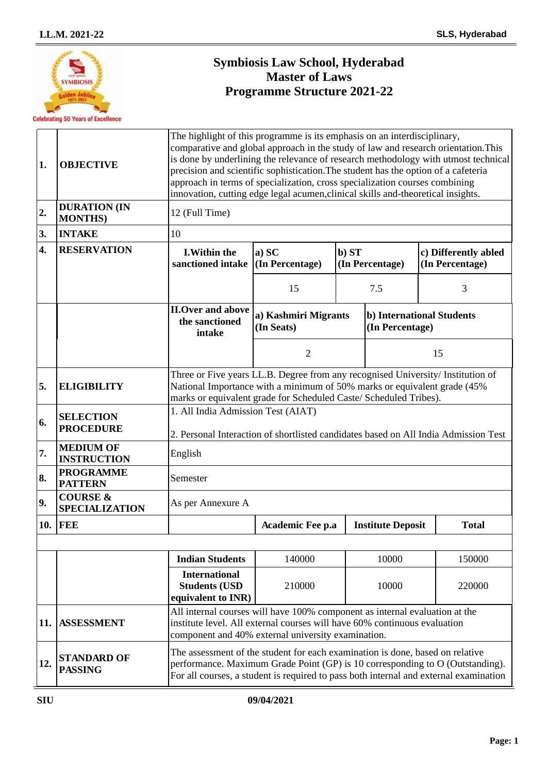

# **Symbiosis Law School, Hyderabad Master of Laws Programme Structure 2021-22**

| 1.  | <b>OBJECTIVE</b>                             | The highlight of this programme is its emphasis on an interdisciplinary,<br>comparative and global approach in the study of law and research orientation. This<br>is done by underlining the relevance of research methodology with utmost technical<br>precision and scientific sophistication. The student has the option of a cafeteria<br>approach in terms of specialization, cross specialization courses combining<br>innovation, cutting edge legal acumen, clinical skills and-theoretical insights. |                                    |       |                                                     |  |                                         |  |
|-----|----------------------------------------------|---------------------------------------------------------------------------------------------------------------------------------------------------------------------------------------------------------------------------------------------------------------------------------------------------------------------------------------------------------------------------------------------------------------------------------------------------------------------------------------------------------------|------------------------------------|-------|-----------------------------------------------------|--|-----------------------------------------|--|
| 2.  | <b>DURATION (IN</b><br><b>MONTHS</b> )       | 12 (Full Time)                                                                                                                                                                                                                                                                                                                                                                                                                                                                                                |                                    |       |                                                     |  |                                         |  |
| 3.  | <b>INTAKE</b>                                | 10                                                                                                                                                                                                                                                                                                                                                                                                                                                                                                            |                                    |       |                                                     |  |                                         |  |
| 4.  | <b>RESERVATION</b>                           | <b>I.Within the</b><br>sanctioned intake                                                                                                                                                                                                                                                                                                                                                                                                                                                                      | a) SC<br>(In Percentage)           | b) ST | (In Percentage)                                     |  | c) Differently abled<br>(In Percentage) |  |
|     |                                              |                                                                                                                                                                                                                                                                                                                                                                                                                                                                                                               | 15                                 |       | 7.5                                                 |  | 3                                       |  |
|     |                                              | <b>II.Over and above</b><br>the sanctioned<br>intake                                                                                                                                                                                                                                                                                                                                                                                                                                                          | a) Kashmiri Migrants<br>(In Seats) |       | <b>b)</b> International Students<br>(In Percentage) |  |                                         |  |
|     |                                              |                                                                                                                                                                                                                                                                                                                                                                                                                                                                                                               | $\overline{2}$                     |       |                                                     |  | 15                                      |  |
| 5.  | <b>ELIGIBILITY</b>                           | Three or Five years LL.B. Degree from any recognised University/ Institution of<br>National Importance with a minimum of 50% marks or equivalent grade (45%<br>marks or equivalent grade for Scheduled Caste/ Scheduled Tribes).                                                                                                                                                                                                                                                                              |                                    |       |                                                     |  |                                         |  |
| 6.  | <b>SELECTION</b><br><b>PROCEDURE</b>         | 1. All India Admission Test (AIAT)<br>2. Personal Interaction of shortlisted candidates based on All India Admission Test                                                                                                                                                                                                                                                                                                                                                                                     |                                    |       |                                                     |  |                                         |  |
| 7.  | <b>MEDIUM OF</b><br><b>INSTRUCTION</b>       | English                                                                                                                                                                                                                                                                                                                                                                                                                                                                                                       |                                    |       |                                                     |  |                                         |  |
| 8.  | <b>PROGRAMME</b><br><b>PATTERN</b>           | Semester                                                                                                                                                                                                                                                                                                                                                                                                                                                                                                      |                                    |       |                                                     |  |                                         |  |
| 9.  | <b>COURSE &amp;</b><br><b>SPECIALIZATION</b> | As per Annexure A                                                                                                                                                                                                                                                                                                                                                                                                                                                                                             |                                    |       |                                                     |  |                                         |  |
| 10. | FEE                                          |                                                                                                                                                                                                                                                                                                                                                                                                                                                                                                               | Academic Fee p.a                   |       | <b>Institute Deposit</b>                            |  | <b>Total</b>                            |  |
|     |                                              |                                                                                                                                                                                                                                                                                                                                                                                                                                                                                                               |                                    |       |                                                     |  |                                         |  |
|     |                                              | <b>Indian Students</b>                                                                                                                                                                                                                                                                                                                                                                                                                                                                                        | 140000                             |       | 10000                                               |  | 150000                                  |  |
|     |                                              | <b>International</b><br><b>Students (USD</b><br>equivalent to INR)                                                                                                                                                                                                                                                                                                                                                                                                                                            | 210000                             |       | 10000                                               |  | 220000                                  |  |
| 11. | <b>ASSESSMENT</b>                            | All internal courses will have 100% component as internal evaluation at the<br>institute level. All external courses will have 60% continuous evaluation<br>component and 40% external university examination.                                                                                                                                                                                                                                                                                                |                                    |       |                                                     |  |                                         |  |
| 12. | <b>STANDARD OF</b><br><b>PASSING</b>         | The assessment of the student for each examination is done, based on relative<br>performance. Maximum Grade Point (GP) is 10 corresponding to O (Outstanding).<br>For all courses, a student is required to pass both internal and external examination                                                                                                                                                                                                                                                       |                                    |       |                                                     |  |                                         |  |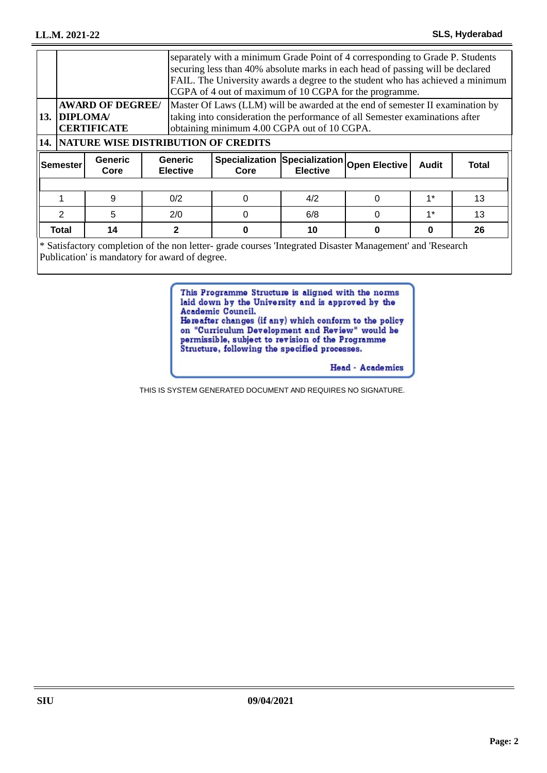| separately with a minimum Grade Point of 4 corresponding to Grade P. Students<br>securing less than 40% absolute marks in each head of passing will be declared<br>FAIL. The University awards a degree to the student who has achieved a minimum<br>CGPA of 4 out of maximum of 10 CGPA for the programme. |                        |                                   |                                                     |                 |          |              |              |
|-------------------------------------------------------------------------------------------------------------------------------------------------------------------------------------------------------------------------------------------------------------------------------------------------------------|------------------------|-----------------------------------|-----------------------------------------------------|-----------------|----------|--------------|--------------|
| Master Of Laws (LLM) will be awarded at the end of semester II examination by<br><b>AWARD OF DEGREE/</b><br>13. DIPLOMA/<br>taking into consideration the performance of all Semester examinations after<br>obtaining minimum 4.00 CGPA out of 10 CGPA.<br><b>CERTIFICATE</b>                               |                        |                                   |                                                     |                 |          |              |              |
| <b>14. NATURE WISE DISTRIBUTION OF CREDITS</b>                                                                                                                                                                                                                                                              |                        |                                   |                                                     |                 |          |              |              |
| <b>lSemester</b>                                                                                                                                                                                                                                                                                            | <b>Generic</b><br>Core | <b>Generic</b><br><b>Elective</b> | Specialization Specialization Open Elective<br>Core | <b>Elective</b> |          | <b>Audit</b> | <b>Total</b> |
|                                                                                                                                                                                                                                                                                                             |                        |                                   |                                                     |                 |          |              |              |
|                                                                                                                                                                                                                                                                                                             |                        |                                   |                                                     |                 |          |              |              |
|                                                                                                                                                                                                                                                                                                             | 9                      | 0/2                               | $\Omega$                                            | 4/2             | $\Omega$ | $1^*$        | 13           |
| $\overline{2}$                                                                                                                                                                                                                                                                                              | 5                      | 2/0                               | $\Omega$                                            | 6/8             | 0        | $1*$         | 13           |
| Total                                                                                                                                                                                                                                                                                                       | 14                     | $\mathbf{2}$                      | 0                                                   | 10              | 0        | $\bf{0}$     | 26           |

Satisfactory completion of the non letter- grade courses 'Integrated Disaster Management' and 'Research Publication' is mandatory for award of degree.

> This Programme Structure is aligned with the norms laid down by the University and is approved by the Academic Council. Hereafter changes (if any) which conform to the policy

on "Curriculum Development and Review" would be permissible, subject to revision of the Programme Structure, following the specified processes.

Head - Academics

THIS IS SYSTEM GENERATED DOCUMENT AND REQUIRES NO SIGNATURE.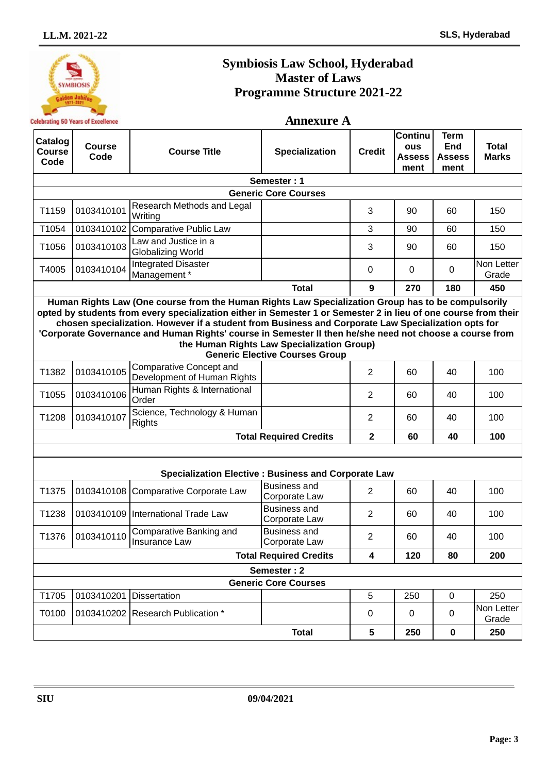

# **Symbiosis Law School, Hyderabad Master of Laws Programme Structure 2021-22**

### **Annexure A**

| Catalog<br>Course<br>Code | <b>Course</b><br>Code                                                                                                                                                                                                                                                                                                                                                                                                                                                                                                          | <b>Course Title</b>                                           | <b>Specialization</b>                | <b>Credit</b>           | Continu<br><b>ous</b><br><b>Assess</b><br>ment | <b>Term</b><br>End<br><b>Assess</b><br>ment | <b>Total</b><br><b>Marks</b> |  |  |  |
|---------------------------|--------------------------------------------------------------------------------------------------------------------------------------------------------------------------------------------------------------------------------------------------------------------------------------------------------------------------------------------------------------------------------------------------------------------------------------------------------------------------------------------------------------------------------|---------------------------------------------------------------|--------------------------------------|-------------------------|------------------------------------------------|---------------------------------------------|------------------------------|--|--|--|
|                           |                                                                                                                                                                                                                                                                                                                                                                                                                                                                                                                                |                                                               | Semester: 1                          |                         |                                                |                                             |                              |  |  |  |
|                           |                                                                                                                                                                                                                                                                                                                                                                                                                                                                                                                                |                                                               | <b>Generic Core Courses</b>          |                         |                                                |                                             |                              |  |  |  |
| T1159                     | 0103410101                                                                                                                                                                                                                                                                                                                                                                                                                                                                                                                     | Research Methods and Legal<br>Writing                         |                                      | 3                       | 90                                             | 60                                          | 150                          |  |  |  |
| T1054                     | 0103410102                                                                                                                                                                                                                                                                                                                                                                                                                                                                                                                     | <b>Comparative Public Law</b>                                 |                                      | 3                       | 90                                             | 60                                          | 150                          |  |  |  |
| T1056                     | 0103410103                                                                                                                                                                                                                                                                                                                                                                                                                                                                                                                     | Law and Justice in a<br><b>Globalizing World</b>              |                                      | 3                       | 90                                             | 60                                          | 150                          |  |  |  |
| T4005                     | 0103410104                                                                                                                                                                                                                                                                                                                                                                                                                                                                                                                     | <b>Integrated Disaster</b><br>Management*                     |                                      | $\Omega$                | 0                                              | 0                                           | Non Letter<br>Grade          |  |  |  |
|                           |                                                                                                                                                                                                                                                                                                                                                                                                                                                                                                                                |                                                               | <b>Total</b>                         | 9                       | 270                                            | 180                                         | 450                          |  |  |  |
|                           | Human Rights Law (One course from the Human Rights Law Specialization Group has to be compulsorily<br>opted by students from every specialization either in Semester 1 or Semester 2 in lieu of one course from their<br>chosen specialization. However if a student from Business and Corporate Law Specialization opts for<br>'Corporate Governance and Human Rights' course in Semester II then he/she need not choose a course from<br>the Human Rights Law Specialization Group)<br><b>Generic Elective Courses Group</b> |                                                               |                                      |                         |                                                |                                             |                              |  |  |  |
| T1382                     | 0103410105                                                                                                                                                                                                                                                                                                                                                                                                                                                                                                                     | <b>Comparative Concept and</b><br>Development of Human Rights |                                      | $\overline{2}$          | 60                                             | 40                                          | 100                          |  |  |  |
| T1055                     | 0103410106                                                                                                                                                                                                                                                                                                                                                                                                                                                                                                                     | Human Rights & International<br>Order                         |                                      | $\overline{2}$          | 60                                             | 40                                          | 100                          |  |  |  |
| T1208                     | 0103410107                                                                                                                                                                                                                                                                                                                                                                                                                                                                                                                     | Science, Technology & Human<br><b>Rights</b>                  |                                      | $\overline{2}$          | 60                                             | 40                                          | 100                          |  |  |  |
|                           |                                                                                                                                                                                                                                                                                                                                                                                                                                                                                                                                |                                                               | <b>Total Required Credits</b>        | $\mathbf 2$             | 60                                             | 40                                          | 100                          |  |  |  |
|                           |                                                                                                                                                                                                                                                                                                                                                                                                                                                                                                                                |                                                               |                                      |                         |                                                |                                             |                              |  |  |  |
|                           |                                                                                                                                                                                                                                                                                                                                                                                                                                                                                                                                | <b>Specialization Elective: Business and Corporate Law</b>    |                                      |                         |                                                |                                             |                              |  |  |  |
| T1375                     |                                                                                                                                                                                                                                                                                                                                                                                                                                                                                                                                | 0103410108 Comparative Corporate Law                          | <b>Business and</b><br>Corporate Law | $\overline{2}$          | 60                                             | 40                                          | 100                          |  |  |  |
| T1238                     |                                                                                                                                                                                                                                                                                                                                                                                                                                                                                                                                | 0103410109 International Trade Law                            | <b>Business and</b><br>Corporate Law | $\overline{2}$          | 60                                             | 40                                          | 100                          |  |  |  |
| T1376                     | 0103410110                                                                                                                                                                                                                                                                                                                                                                                                                                                                                                                     | Comparative Banking and<br>Insurance Law                      | <b>Business and</b><br>Corporate Law | $\overline{2}$          | 60                                             | 40                                          | 100                          |  |  |  |
|                           |                                                                                                                                                                                                                                                                                                                                                                                                                                                                                                                                |                                                               | <b>Total Required Credits</b>        | $\overline{\mathbf{4}}$ | 120                                            | 80                                          | 200                          |  |  |  |
|                           |                                                                                                                                                                                                                                                                                                                                                                                                                                                                                                                                |                                                               | Semester: 2                          |                         |                                                |                                             |                              |  |  |  |
|                           |                                                                                                                                                                                                                                                                                                                                                                                                                                                                                                                                |                                                               | <b>Generic Core Courses</b>          |                         |                                                |                                             |                              |  |  |  |
| T1705                     | 0103410201 Dissertation                                                                                                                                                                                                                                                                                                                                                                                                                                                                                                        |                                                               |                                      | 5                       | 250                                            | $\mathsf 0$                                 | 250                          |  |  |  |
| T0100                     |                                                                                                                                                                                                                                                                                                                                                                                                                                                                                                                                | 0103410202 Research Publication *                             |                                      | 0                       | 0                                              | 0                                           | Non Letter<br>Grade          |  |  |  |
|                           |                                                                                                                                                                                                                                                                                                                                                                                                                                                                                                                                |                                                               | <b>Total</b>                         | 5                       | 250                                            | $\pmb{0}$                                   | 250                          |  |  |  |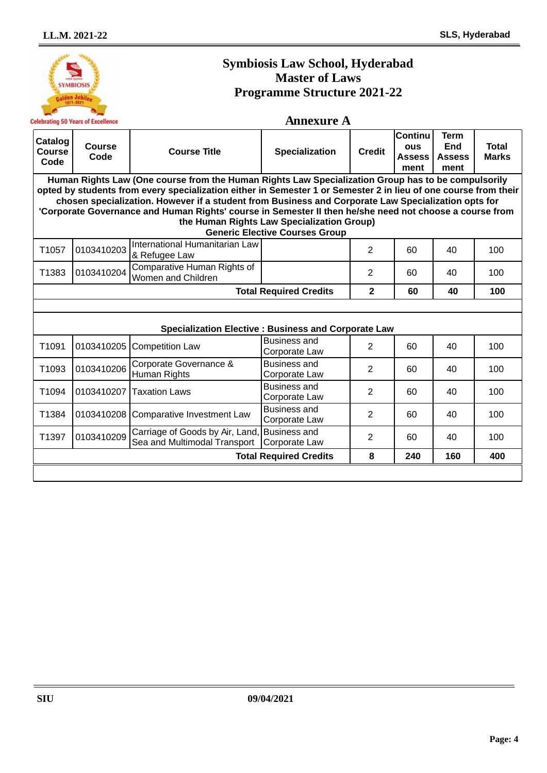#### **Symbiosis Law School, Hyderabad Master of Laws YMBIOSIS Programme Structure 2021-22 Annexure A Celebrating 50 Years of Excellence Continu Term Catalog Course End Total ous Code Course Title Specialization Credit Course Assess Assess Marks Code ment ment Human Rights Law (One course from the Human Rights Law Specialization Group has to be compulsorily opted by students from every specialization either in Semester 1 or Semester 2 in lieu of one course from their chosen specialization. However if a student from Business and Corporate Law Specialization opts for 'Corporate Governance and Human Rights' course in Semester II then he/she need not choose a course from the Human Rights Law Specialization Group) Generic Elective Courses Group**  T1057 <sup>0103410203</sup> International Humanitarian Law Refugee Law **8** Refugee Law **2 100** 8 Refugee Law T1383 <sup>0103410204</sup> Comparative Human Rights of Unificative Figure 1 in Rights of the Children and Children 2 (and the United States 1 and 2 and 2 and 40 100  $\mu$ **Total Required Credits 2 60 40 100 Specialization Elective : Business and Corporate Law** T1091 0103410205 Competition Law Business and Busiliess and<br>Corporate Law  $\begin{vmatrix} 2 & 60 & 40 \end{vmatrix}$  100 T1093 <sup>0103410206</sup> Corporate Governance & Business and Busiliess and<br>Corporate Law  $\begin{vmatrix} 2 & 60 & 40 \\ 1 & 0 & 100 \\ 0 & 0 & 100 \end{vmatrix}$ Human Rights T1094  $\Big| 0103410207 \Big|$  Taxation Laws Business and Busiliess and<br>Corporate Law  $\begin{vmatrix} 2 & 60 & 40 \\ 1 & 0 & 100 \end{vmatrix}$ T1384 <sup>0103410208</sup> Comparative Investment Law Business and  $\frac{2}{2}$  60 40 100 T1397  $\Big| 0103410209 \Big|$  Carriage of Goods by Air, Land Business and Busiliess and<br>Corporate Law 2 60 40 100 Sea and Multimodal Transport **Total Required Credits 8 240 160 400**